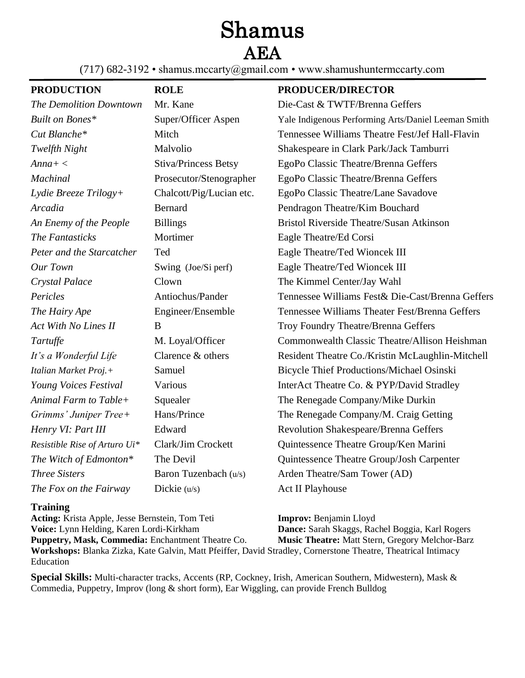## Shamus

AEA

(717) 682-3192 • shamus.mccarty@gmail.com • www.shamushuntermccarty.com

## **PRODUCTION ROLE PRODUCER/DIRECTOR**

| <b>The Demolition Downtown</b> | Mr. Kane                    | Die-Cast & TWTF/Brenna Geffers                      |
|--------------------------------|-----------------------------|-----------------------------------------------------|
| Built on Bones*                | Super/Officer Aspen         | Yale Indigenous Performing Arts/Daniel Leeman Smith |
| Cut Blanche*                   | Mitch                       | Tennessee Williams Theatre Fest/Jef Hall-Flavin     |
| Twelfth Night                  | Malvolio                    | Shakespeare in Clark Park/Jack Tamburri             |
| $Anna+<$                       | <b>Stiva/Princess Betsy</b> | EgoPo Classic Theatre/Brenna Geffers                |
| <b>Machinal</b>                | Prosecutor/Stenographer     | EgoPo Classic Theatre/Brenna Geffers                |
| Lydie Breeze Trilogy+          | Chalcott/Pig/Lucian etc.    | EgoPo Classic Theatre/Lane Savadove                 |
| Arcadia                        | <b>Bernard</b>              | Pendragon Theatre/Kim Bouchard                      |
| An Enemy of the People         | <b>Billings</b>             | <b>Bristol Riverside Theatre/Susan Atkinson</b>     |
| The Fantasticks                | Mortimer                    | Eagle Theatre/Ed Corsi                              |
| Peter and the Starcatcher      | Ted                         | Eagle Theatre/Ted Wioncek III                       |
| Our Town                       | Swing (Joe/Si perf)         | Eagle Theatre/Ted Wioncek III                       |
| Crystal Palace                 | Clown                       | The Kimmel Center/Jay Wahl                          |
| Pericles                       | Antiochus/Pander            | Tennessee Williams Fest& Die-Cast/Brenna Geffers    |
| The Hairy Ape                  | Engineer/Ensemble           | Tennessee Williams Theater Fest/Brenna Geffers      |
| Act With No Lines II           | B                           | Troy Foundry Theatre/Brenna Geffers                 |
| Tartuffe                       | M. Loyal/Officer            | Commonwealth Classic Theatre/Allison Heishman       |
| It's a Wonderful Life          | Clarence & others           | Resident Theatre Co./Kristin McLaughlin-Mitchell    |
| Italian Market Proj.+          | Samuel                      | <b>Bicycle Thief Productions/Michael Osinski</b>    |
| Young Voices Festival          | Various                     | InterAct Theatre Co. & PYP/David Stradley           |
| Animal Farm to Table+          | Squealer                    | The Renegade Company/Mike Durkin                    |
| Grimms' Juniper Tree+          | Hans/Prince                 | The Renegade Company/M. Craig Getting               |
| Henry VI: Part III             | Edward                      | Revolution Shakespeare/Brenna Geffers               |
| Resistible Rise of Arturo Ui*  | Clark/Jim Crockett          | Quintessence Theatre Group/Ken Marini               |
| The Witch of Edmonton*         | The Devil                   | Quintessence Theatre Group/Josh Carpenter           |
| <b>Three Sisters</b>           | Baron Tuzenbach (u/s)       | Arden Theatre/Sam Tower (AD)                        |
| The Fox on the Fairway         | Dickie $(u/s)$              | <b>Act II Playhouse</b>                             |
|                                |                             |                                                     |

## **Training**

**Acting:** Krista Apple, Jesse Bernstein, Tom Teti **Improv:** Benjamin Lloyd **Voice:** Lynn Helding, Karen Lordi-Kirkham **Dance:** Sarah Skaggs, Rachel Boggia, Karl Rogers Puppetry, Mask, Commedia: Enchantment Theatre Co. Music Theatre: Matt Stern, Gregory Melchor-Barz **Workshops:** Blanka Zizka, Kate Galvin, Matt Pfeiffer, David Stradley, Cornerstone Theatre, Theatrical Intimacy Education

**Special Skills:** Multi-character tracks, Accents (RP, Cockney, Irish, American Southern, Midwestern), Mask & Commedia, Puppetry, Improv (long & short form), Ear Wiggling, can provide French Bulldog